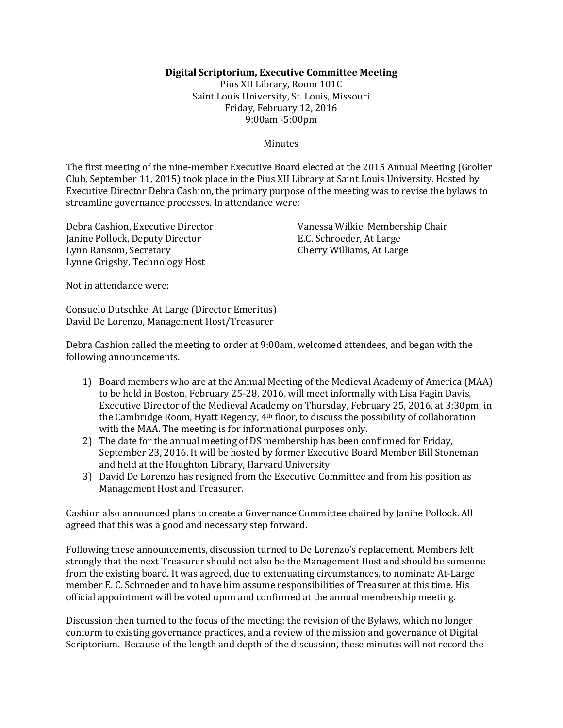### **Digital Scriptorium, Executive Committee Meeting**

Pius XII Library, Room 101C Saint Louis University, St. Louis, Missouri Friday, February 12, 2016 9:00am -5:00pm

#### **Minutes**

The first meeting of the nine-member Executive Board elected at the 2015 Annual Meeting (Grolier Club, September 11, 2015) took place in the Pius XII Library at Saint Louis University. Hosted by Executive Director Debra Cashion, the primary purpose of the meeting was to revise the bylaws to streamline governance processes. In attendance were:

Debra Cashion, Executive Director Janine Pollock, Deputy Director Lynn Ransom, Secretary Lynne Grigsby, Technology Host

Vanessa Wilkie, Membership Chair E.C. Schroeder, At Large Cherry Williams, At Large

Not in attendance were:

Consuelo Dutschke, At Large (Director Emeritus) David De Lorenzo, Management Host/Treasurer

Debra Cashion called the meeting to order at 9:00am, welcomed attendees, and began with the following announcements.

- 1) Board members who are at the Annual Meeting of the Medieval Academy of America (MAA) to be held in Boston, February 25-28, 2016, will meet informally with Lisa Fagin Davis, Executive Director of the Medieval Academy on Thursday, February 25, 2016, at 3:30pm, in the Cambridge Room, Hyatt Regency, 4th floor, to discuss the possibility of collaboration with the MAA. The meeting is for informational purposes only.
- 2) The date for the annual meeting of DS membership has been confirmed for Friday, September 23, 2016. It will be hosted by former Executive Board Member Bill Stoneman and held at the Houghton Library, Harvard University
- 3) David De Lorenzo has resigned from the Executive Committee and from his position as Management Host and Treasurer.

Cashion also announced plans to create a Governance Committee chaired by Janine Pollock. All agreed that this was a good and necessary step forward.

Following these announcements, discussion turned to De Lorenzo's replacement. Members felt strongly that the next Treasurer should not also be the Management Host and should be someone from the existing board. It was agreed, due to extenuating circumstances, to nominate At-Large member E. C. Schroeder and to have him assume responsibilities of Treasurer at this time. His official appointment will be voted upon and confirmed at the annual membership meeting.

Discussion then turned to the focus of the meeting: the revision of the Bylaws, which no longer conform to existing governance practices, and a review of the mission and governance of Digital Scriptorium. Because of the length and depth of the discussion, these minutes will not record the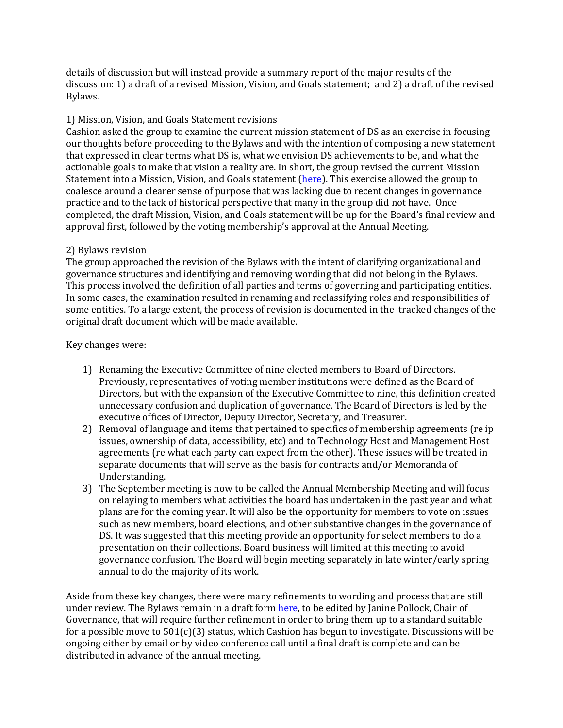details of discussion but will instead provide a summary report of the major results of the discussion: 1) a draft of a revised Mission, Vision, and Goals statement; and 2) a draft of the revised Bylaws.

### 1) Mission, Vision, and Goals Statement revisions

Cashion asked the group to examine the current mission statement of DS as an exercise in focusing our thoughts before proceeding to the Bylaws and with the intention of composing a new statement that expressed in clear terms what DS is, what we envision DS achievements to be, and what the actionable goals to make that vision a reality are. In short, the group revised the current Mission Statement into a Mission, Vision, and Goals statement [\(here\)](https://docs.google.com/document/d/1Wlj1fNhuB_sBNnyid-vcDnRElJwkhI6DQwxDJK2M8uE/edit?usp=sharing). This exercise allowed the group to coalesce around a clearer sense of purpose that was lacking due to recent changes in governance practice and to the lack of historical perspective that many in the group did not have. Once completed, the draft Mission, Vision, and Goals statement will be up for the Board's final review and approval first, followed by the voting membership's approval at the Annual Meeting.

### 2) Bylaws revision

The group approached the revision of the Bylaws with the intent of clarifying organizational and governance structures and identifying and removing wording that did not belong in the Bylaws. This process involved the definition of all parties and terms of governing and participating entities. In some cases, the examination resulted in renaming and reclassifying roles and responsibilities of some entities. To a large extent, the process of revision is documented in the tracked changes of the original draft document which will be made available.

Key changes were:

- 1) Renaming the Executive Committee of nine elected members to Board of Directors. Previously, representatives of voting member institutions were defined as the Board of Directors, but with the expansion of the Executive Committee to nine, this definition created unnecessary confusion and duplication of governance. The Board of Directors is led by the executive offices of Director, Deputy Director, Secretary, and Treasurer.
- 2) Removal of language and items that pertained to specifics of membership agreements (re ip issues, ownership of data, accessibility, etc) and to Technology Host and Management Host agreements (re what each party can expect from the other). These issues will be treated in separate documents that will serve as the basis for contracts and/or Memoranda of Understanding.
- 3) The September meeting is now to be called the Annual Membership Meeting and will focus on relaying to members what activities the board has undertaken in the past year and what plans are for the coming year. It will also be the opportunity for members to vote on issues such as new members, board elections, and other substantive changes in the governance of DS. It was suggested that this meeting provide an opportunity for select members to do a presentation on their collections. Board business will limited at this meeting to avoid governance confusion. The Board will begin meeting separately in late winter/early spring annual to do the majority of its work.

Aside from these key changes, there were many refinements to wording and process that are still under review. The Bylaws remain in a draft form [here,](https://docs.google.com/document/d/1oQ22STCgLzxP2vPH_Bdy5JfQVKcG39TUTzTF2iMnUQc/edit?usp=sharing) to be edited by Janine Pollock, Chair of Governance, that will require further refinement in order to bring them up to a standard suitable for a possible move to 501(c)(3) status, which Cashion has begun to investigate. Discussions will be ongoing either by email or by video conference call until a final draft is complete and can be distributed in advance of the annual meeting.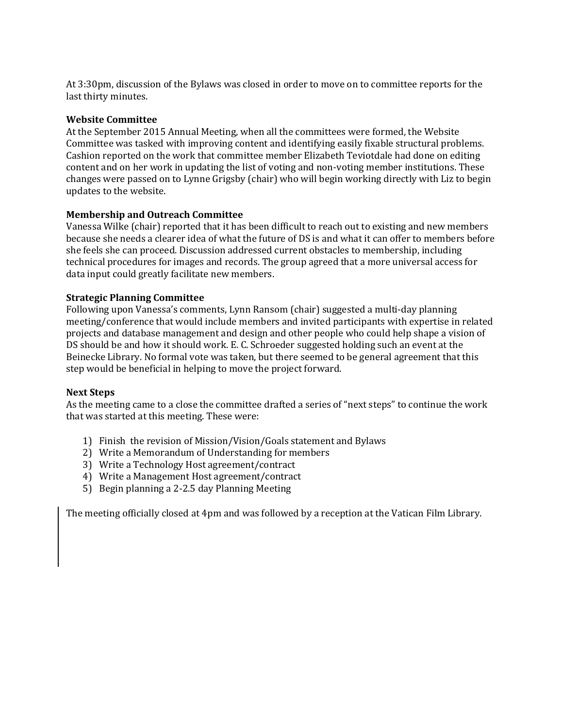At 3:30pm, discussion of the Bylaws was closed in order to move on to committee reports for the last thirty minutes.

### **Website Committee**

At the September 2015 Annual Meeting, when all the committees were formed, the Website Committee was tasked with improving content and identifying easily fixable structural problems. Cashion reported on the work that committee member Elizabeth Teviotdale had done on editing content and on her work in updating the list of voting and non-voting member institutions. These changes were passed on to Lynne Grigsby (chair) who will begin working directly with Liz to begin updates to the website.

### **Membership and Outreach Committee**

Vanessa Wilke (chair) reported that it has been difficult to reach out to existing and new members because she needs a clearer idea of what the future of DS is and what it can offer to members before she feels she can proceed. Discussion addressed current obstacles to membership, including technical procedures for images and records. The group agreed that a more universal access for data input could greatly facilitate new members.

### **Strategic Planning Committee**

Following upon Vanessa's comments, Lynn Ransom (chair) suggested a multi-day planning meeting/conference that would include members and invited participants with expertise in related projects and database management and design and other people who could help shape a vision of DS should be and how it should work. E. C. Schroeder suggested holding such an event at the Beinecke Library. No formal vote was taken, but there seemed to be general agreement that this step would be beneficial in helping to move the project forward.

## **Next Steps**

As the meeting came to a close the committee drafted a series of "next steps" to continue the work that was started at this meeting. These were:

- 1) Finish the revision of Mission/Vision/Goals statement and Bylaws
- 2) Write a Memorandum of Understanding for members
- 3) Write a Technology Host agreement/contract
- 4) Write a Management Host agreement/contract
- 5) Begin planning a 2-2.5 day Planning Meeting

The meeting officially closed at 4pm and was followed by a reception at the Vatican Film Library.